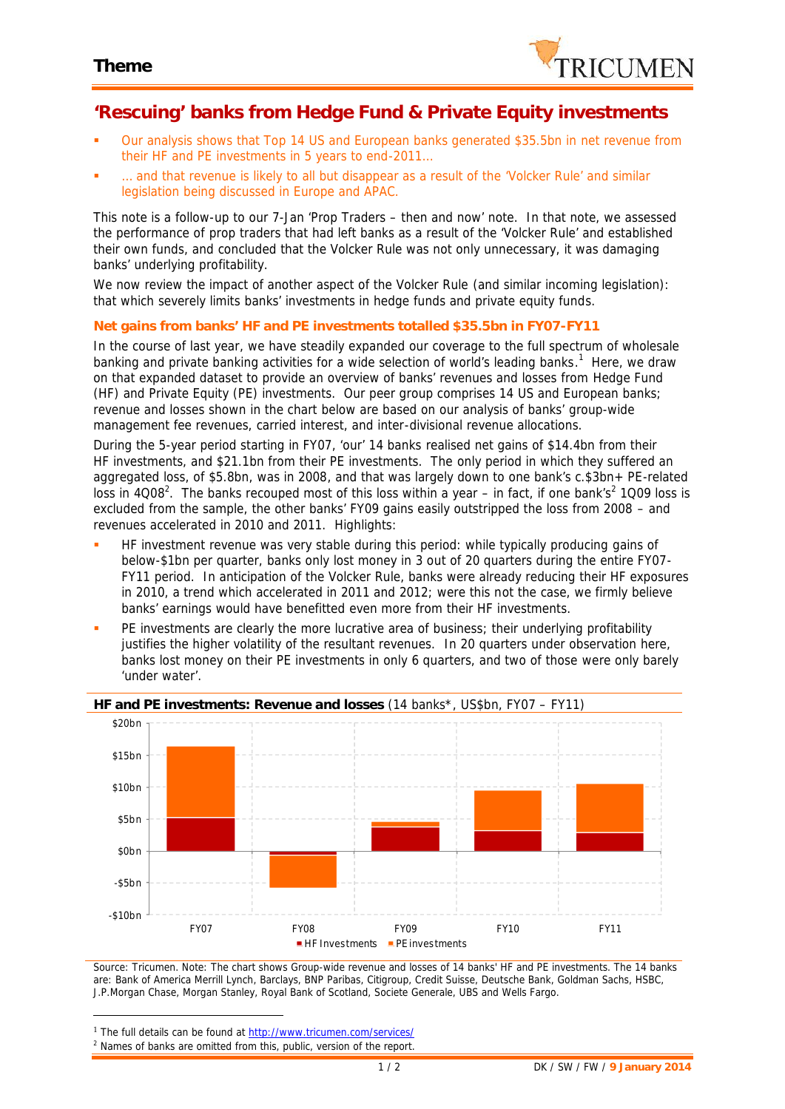

## **'Rescuing' banks from Hedge Fund & Private Equity investments**

- Our analysis shows that Top 14 US and European banks generated \$35.5bn in *net* revenue from their HF and PE investments in 5 years to end-2011…
- … and that revenue is likely to all but disappear as a result of the 'Volcker Rule' and similar legislation being discussed in Europe and APAC.

This note is a follow-up to our 7-Jan 'Prop Traders – then and now' note. In that note, we assessed the performance of prop traders that had left banks as a result of the 'Volcker Rule' and established their own funds, and concluded that the Volcker Rule was not only unnecessary, it was damaging banks' underlying profitability.

We now review the impact of another aspect of the Volcker Rule (and similar incoming legislation): that which severely limits banks' investments in hedge funds and private equity funds.

### **Net gains from banks' HF and PE investments totalled \$35.5bn in FY07-FY11**

In the course of last year, we have steadily expanded our coverage to the full spectrum of wholesale banking and private banking activities for a wide selection of world's leading banks.<sup>1</sup> Here, we draw on that expanded dataset to provide an overview of banks' revenues and losses from Hedge Fund (HF) and Private Equity (PE) investments. Our peer group comprises 14 US and European banks; revenue and losses shown in the chart below are based on our analysis of banks' group-wide management fee revenues, carried interest, and inter-divisional revenue allocations.

During the 5-year period starting in FY07, 'our' 14 banks realised net gains of \$14.4bn from their HF investments, and \$21.1bn from their PE investments. The only period in which they suffered an aggregated loss, of \$5.8bn, was in 2008, and that was largely down to one bank's c.\$3bn+ PE-related loss in 4008<sup>2</sup>. The banks recouped most of this loss within a year – in fact, if one bank's<sup>2</sup> 1009 loss is excluded from the sample, the other banks' FY09 gains easily outstripped the loss from 2008 – and revenues accelerated in 2010 and 2011. Highlights:

- HF investment revenue was very stable during this period: while typically producing gains of below-\$1bn per quarter, banks only lost money in 3 out of 20 quarters during the entire FY07- FY11 period. In anticipation of the Volcker Rule, banks were already reducing their HF exposures in 2010, a trend which accelerated in 2011 and 2012; were this not the case, we firmly believe banks' earnings would have benefitted even more from their HF investments.
- PE investments are clearly the more lucrative area of business; their underlying profitability justifies the higher volatility of the resultant revenues. In 20 quarters under observation here, banks lost money on their PE investments in only 6 quarters, and two of those were only barely 'under water'.



#### **HF and PE investments: Revenue and losses** (14 banks\*, US\$bn, FY07 – FY11)

*Source: Tricumen. Note: The chart shows Group-wide revenue and losses of 14 banks' HF and PE investments. The 14 banks are: Bank of America Merrill Lynch, Barclays, BNP Paribas, Citigroup, Credit Suisse, Deutsche Bank, Goldman Sachs, HSBC, J.P.Morgan Chase, Morgan Stanley, Royal Bank of Scotland, Societe Generale, UBS and Wells Fargo.*

<sup>1</sup> *The full details can be found at http://www.tricumen.com/services/*

<sup>2</sup> *Names of banks are omitted from this, public, version of the report.*